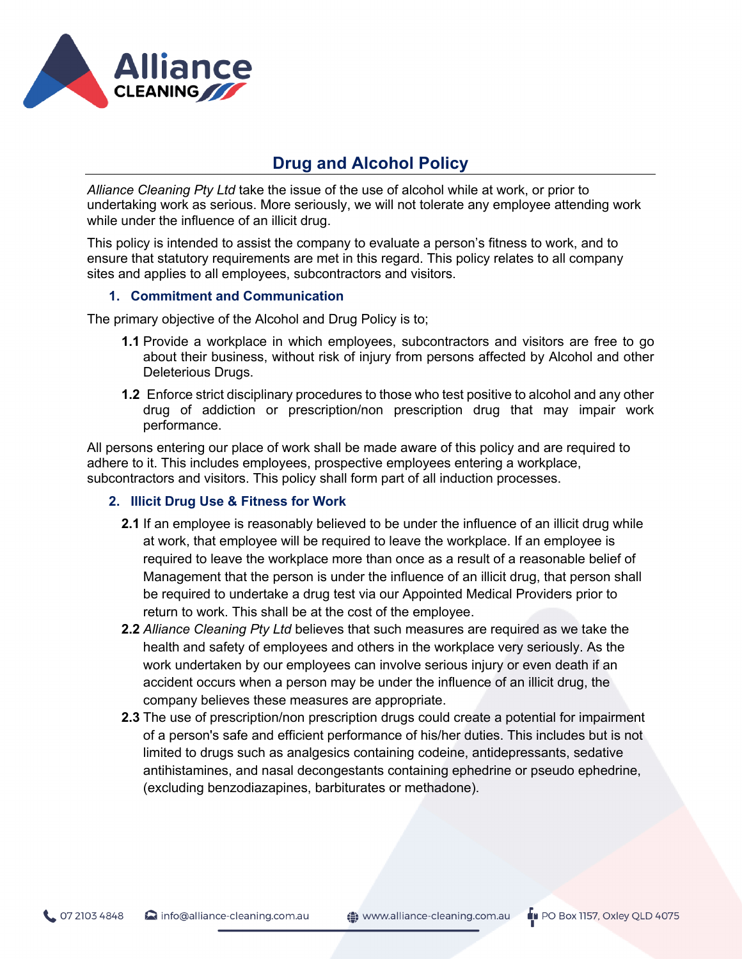

# **Drug and Alcohol Policy**

*Alliance Cleaning Pty Ltd* take the issue of the use of alcohol while at work, or prior to undertaking work as serious. More seriously, we will not tolerate any employee attending work while under the influence of an illicit drug.

This policy is intended to assist the company to evaluate a person's fitness to work, and to ensure that statutory requirements are met in this regard. This policy relates to all company sites and applies to all employees, subcontractors and visitors.

### **1. Commitment and Communication**

The primary objective of the Alcohol and Drug Policy is to;

- **1.1** Provide a workplace in which employees, subcontractors and visitors are free to go about their business, without risk of injury from persons affected by Alcohol and other Deleterious Drugs.
- **1.2** Enforce strict disciplinary procedures to those who test positive to alcohol and any other drug of addiction or prescription/non prescription drug that may impair work performance.

All persons entering our place of work shall be made aware of this policy and are required to adhere to it. This includes employees, prospective employees entering a workplace, subcontractors and visitors. This policy shall form part of all induction processes.

### **2. Illicit Drug Use & Fitness for Work**

- **2.1** If an employee is reasonably believed to be under the influence of an illicit drug while at work, that employee will be required to leave the workplace. If an employee is required to leave the workplace more than once as a result of a reasonable belief of Management that the person is under the influence of an illicit drug, that person shall be required to undertake a drug test via our Appointed Medical Providers prior to return to work. This shall be at the cost of the employee.
- **2.2** *Alliance Cleaning Pty Ltd* believes that such measures are required as we take the health and safety of employees and others in the workplace very seriously. As the work undertaken by our employees can involve serious injury or even death if an accident occurs when a person may be under the influence of an illicit drug, the company believes these measures are appropriate.
- **2.3** The use of prescription/non prescription drugs could create a potential for impairment of a person's safe and efficient performance of his/her duties. This includes but is not limited to drugs such as analgesics containing codeine, antidepressants, sedative antihistamines, and nasal decongestants containing ephedrine or pseudo ephedrine, (excluding benzodiazapines, barbiturates or methadone).